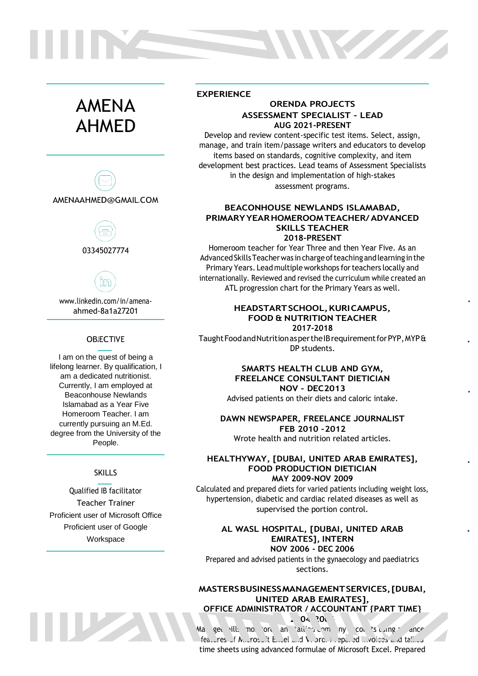# AMENA AHMED

[AMENAAHMED@GMAIL.COM](mailto:AMENAAHMED@GMAIL.COM)



03345027774

ĬM

[www.linkedin.com/in/amena](http://www.linkedin.com/in/amena-)ahmed-8a1a27201

#### **OBJECTIVE**

I am on the quest of being a lifelong learner. By qualification, I am a dedicated nutritionist. Currently, I am employed at Beaconhouse Newlands Islamabad as a Year Five Homeroom Teacher. I am currently pursuing an M.Ed. degree from the University of the People.

#### **SKILLS**

Qualified IB facilitator Teacher Trainer Proficient user of Microsoft Office Proficient user of Google Workspace

**TILLEN** 

#### **EXPERIENCE**

### **ORENDA PROJECTS ASSESSMENT SPECIALIST - LEAD AUG 2021-PRESENT**

W

Develop and review content-specific test items. Select, assign, manage, and train item/passage writers and educators to develop items based on standards, cognitive complexity, and item development best practices. Lead teams of Assessment Specialists in the design and implementation of high-stakes assessment programs.

#### **BEACONHOUSE NEWLANDS ISLAMABAD, PRIMARYYEARHOMEROOMTEACHER/ADVANCED SKILLS TEACHER 2018-PRESENT**

Homeroom teacher for Year Three and then Year Five. As an Advanced Skills Teacher was in charge of teaching and learning in the Primary Years. Lead multiple workshops for teachers locally and internationally. Reviewed and revised the curriculum while created an ATL progression chart for the Primary Years as well.

### **HEADSTARTSCHOOL,KURICAMPUS, FOOD & NUTRITION TEACHER 2017-2018**

TaughtFood and Nutrition as per the IB requirement for PYP, MYP& DP students.

#### **SMARTS HEALTH CLUB AND GYM, FREELANCE CONSULTANT DIETICIAN NOV - DEC2013** Advised patients on their diets and caloric intake.

**DAWN NEWSPAPER, FREELANCE JOURNALIST FEB 2010 -2012** Wrote health and nutrition related articles.

#### **HEALTHYWAY, [DUBAI, UNITED ARAB EMIRATES], FOOD PRODUCTION DIETICIAN MAY 2009-NOV 2009**

Calculated and prepared diets for varied patients including weight loss, hypertension, diabetic and cardiac related diseases as well as supervised the portion control.

#### **AL WASL HOSPITAL, [DUBAI, UNITED ARAB EMIRATES], INTERN NOV 2006 - DEC 2006**

Prepared and advised patients in the gynaecology and paediatrics sections.

#### **MASTERSBUSINESSMANAGEMENTSERVICES,[DUBAI, UNITED ARAB EMIRATES], OFFICE ADMINISTRATOR / ACCOUNTANT {PART TIME}**

**2** 04 200

Managed vills monitored and talling company accounts using and and features of Microsoft Excel and V. Src. Figgal and invoices and tallied time sheets using advanced formulae of Microsoft Excel. Prepared